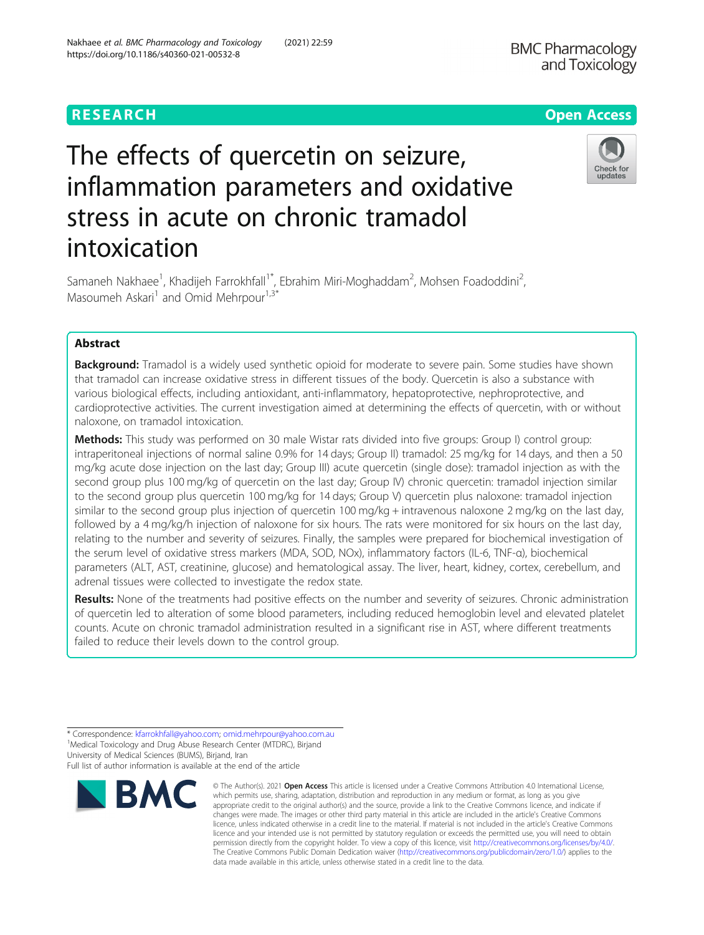# RESEARCH **RESEARCH CONSUMING THE CONSUMING THE CONSUMING TENS**

# The effects of quercetin on seizure, inflammation parameters and oxidative stress in acute on chronic tramadol intoxication

Samaneh Nakhaee<sup>1</sup>, Khadijeh Farrokhfall<sup>1\*</sup>, Ebrahim Miri-Moghaddam<sup>2</sup>, Mohsen Foadoddini<sup>2</sup> , Masoumeh Askari<sup>1</sup> and Omid Mehrpour<sup>1,3\*</sup>

# Abstract

**Background:** Tramadol is a widely used synthetic opioid for moderate to severe pain. Some studies have shown that tramadol can increase oxidative stress in different tissues of the body. Quercetin is also a substance with various biological effects, including antioxidant, anti-inflammatory, hepatoprotective, nephroprotective, and cardioprotective activities. The current investigation aimed at determining the effects of quercetin, with or without naloxone, on tramadol intoxication.

Methods: This study was performed on 30 male Wistar rats divided into five groups: Group I) control group: intraperitoneal injections of normal saline 0.9% for 14 days; Group II) tramadol: 25 mg/kg for 14 days, and then a 50 mg/kg acute dose injection on the last day; Group III) acute quercetin (single dose): tramadol injection as with the second group plus 100 mg/kg of quercetin on the last day; Group IV) chronic quercetin: tramadol injection similar to the second group plus quercetin 100 mg/kg for 14 days; Group V) quercetin plus naloxone: tramadol injection similar to the second group plus injection of quercetin 100 mg/kg + intravenous naloxone 2 mg/kg on the last day, followed by a 4 mg/kg/h injection of naloxone for six hours. The rats were monitored for six hours on the last day, relating to the number and severity of seizures. Finally, the samples were prepared for biochemical investigation of the serum level of oxidative stress markers (MDA, SOD, NOx), inflammatory factors (IL-6, TNF-α), biochemical parameters (ALT, AST, creatinine, glucose) and hematological assay. The liver, heart, kidney, cortex, cerebellum, and adrenal tissues were collected to investigate the redox state.

Results: None of the treatments had positive effects on the number and severity of seizures. Chronic administration of quercetin led to alteration of some blood parameters, including reduced hemoglobin level and elevated platelet counts. Acute on chronic tramadol administration resulted in a significant rise in AST, where different treatments failed to reduce their levels down to the control group.

\* Correspondence: [kfarrokhfall@yahoo.com](mailto:kfarrokhfall@yahoo.com); [omid.mehrpour@yahoo.com.au](mailto:omid.mehrpour@yahoo.com.au) <sup>1</sup>

© The Author(s), 2021 **Open Access** This article is licensed under a Creative Commons Attribution 4.0 International License, which permits use, sharing, adaptation, distribution and reproduction in any medium or format, as long as you give appropriate credit to the original author(s) and the source, provide a link to the Creative Commons licence, and indicate if





<sup>&</sup>lt;sup>1</sup> Medical Toxicology and Drug Abuse Research Center (MTDRC), Birjand University of Medical Sciences (BUMS), Birjand, Iran Full list of author information is available at the end of the article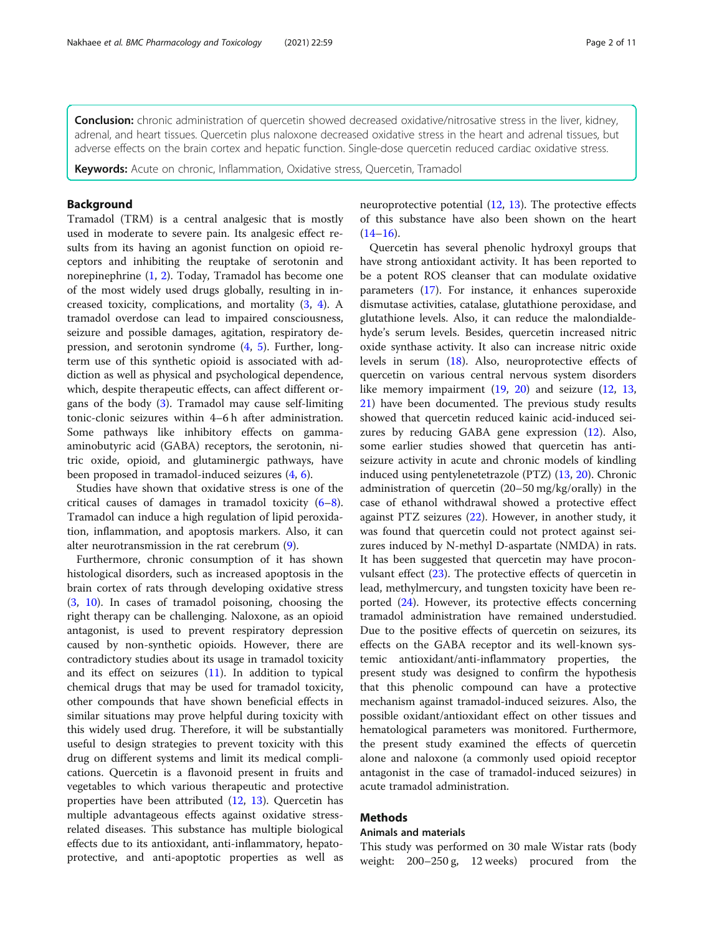Conclusion: chronic administration of quercetin showed decreased oxidative/nitrosative stress in the liver, kidney, adrenal, and heart tissues. Quercetin plus naloxone decreased oxidative stress in the heart and adrenal tissues, but adverse effects on the brain cortex and hepatic function. Single-dose quercetin reduced cardiac oxidative stress.

Keywords: Acute on chronic, Inflammation, Oxidative stress, Quercetin, Tramadol

#### Background

Tramadol (TRM) is a central analgesic that is mostly used in moderate to severe pain. Its analgesic effect results from its having an agonist function on opioid receptors and inhibiting the reuptake of serotonin and norepinephrine ([1,](#page-8-0) [2](#page-8-0)). Today, Tramadol has become one of the most widely used drugs globally, resulting in increased toxicity, complications, and mortality ([3,](#page-8-0) [4\)](#page-8-0). A tramadol overdose can lead to impaired consciousness, seizure and possible damages, agitation, respiratory depression, and serotonin syndrome ([4](#page-8-0), [5\)](#page-8-0). Further, longterm use of this synthetic opioid is associated with addiction as well as physical and psychological dependence, which, despite therapeutic effects, can affect different organs of the body [\(3](#page-8-0)). Tramadol may cause self-limiting tonic-clonic seizures within 4–6 h after administration. Some pathways like inhibitory effects on gammaaminobutyric acid (GABA) receptors, the serotonin, nitric oxide, opioid, and glutaminergic pathways, have been proposed in tramadol-induced seizures ([4,](#page-8-0) [6\)](#page-8-0).

Studies have shown that oxidative stress is one of the critical causes of damages in tramadol toxicity  $(6-8)$  $(6-8)$  $(6-8)$  $(6-8)$ . Tramadol can induce a high regulation of lipid peroxidation, inflammation, and apoptosis markers. Also, it can alter neurotransmission in the rat cerebrum ([9\)](#page-8-0).

Furthermore, chronic consumption of it has shown histological disorders, such as increased apoptosis in the brain cortex of rats through developing oxidative stress ([3,](#page-8-0) [10](#page-8-0)). In cases of tramadol poisoning, choosing the right therapy can be challenging. Naloxone, as an opioid antagonist, is used to prevent respiratory depression caused by non-synthetic opioids. However, there are contradictory studies about its usage in tramadol toxicity and its effect on seizures  $(11)$  $(11)$ . In addition to typical chemical drugs that may be used for tramadol toxicity, other compounds that have shown beneficial effects in similar situations may prove helpful during toxicity with this widely used drug. Therefore, it will be substantially useful to design strategies to prevent toxicity with this drug on different systems and limit its medical complications. Quercetin is a flavonoid present in fruits and vegetables to which various therapeutic and protective properties have been attributed [\(12](#page-8-0), [13](#page-9-0)). Quercetin has multiple advantageous effects against oxidative stressrelated diseases. This substance has multiple biological effects due to its antioxidant, anti-inflammatory, hepatoprotective, and anti-apoptotic properties as well as neuroprotective potential [\(12](#page-8-0), [13](#page-9-0)). The protective effects of this substance have also been shown on the heart  $(14-16)$  $(14-16)$  $(14-16)$  $(14-16)$  $(14-16)$ .

Quercetin has several phenolic hydroxyl groups that have strong antioxidant activity. It has been reported to be a potent ROS cleanser that can modulate oxidative parameters ([17\)](#page-9-0). For instance, it enhances superoxide dismutase activities, catalase, glutathione peroxidase, and glutathione levels. Also, it can reduce the malondialdehyde's serum levels. Besides, quercetin increased nitric oxide synthase activity. It also can increase nitric oxide levels in serum [\(18\)](#page-9-0). Also, neuroprotective effects of quercetin on various central nervous system disorders like memory impairment ([19](#page-9-0), [20](#page-9-0)) and seizure ([12,](#page-8-0) [13](#page-9-0), [21\)](#page-9-0) have been documented. The previous study results showed that quercetin reduced kainic acid-induced seizures by reducing GABA gene expression [\(12](#page-8-0)). Also, some earlier studies showed that quercetin has antiseizure activity in acute and chronic models of kindling induced using pentylenetetrazole (PTZ) ([13,](#page-9-0) [20](#page-9-0)). Chronic administration of quercetin (20–50 mg/kg/orally) in the case of ethanol withdrawal showed a protective effect against PTZ seizures ([22](#page-9-0)). However, in another study, it was found that quercetin could not protect against seizures induced by N-methyl D-aspartate (NMDA) in rats. It has been suggested that quercetin may have proconvulsant effect ([23\)](#page-9-0). The protective effects of quercetin in lead, methylmercury, and tungsten toxicity have been reported [\(24](#page-9-0)). However, its protective effects concerning tramadol administration have remained understudied. Due to the positive effects of quercetin on seizures, its effects on the GABA receptor and its well-known systemic antioxidant/anti-inflammatory properties, the present study was designed to confirm the hypothesis that this phenolic compound can have a protective mechanism against tramadol-induced seizures. Also, the possible oxidant/antioxidant effect on other tissues and hematological parameters was monitored. Furthermore, the present study examined the effects of quercetin alone and naloxone (a commonly used opioid receptor antagonist in the case of tramadol-induced seizures) in acute tramadol administration.

# Methods

# Animals and materials

This study was performed on 30 male Wistar rats (body weight: 200–250 g, 12 weeks) procured from the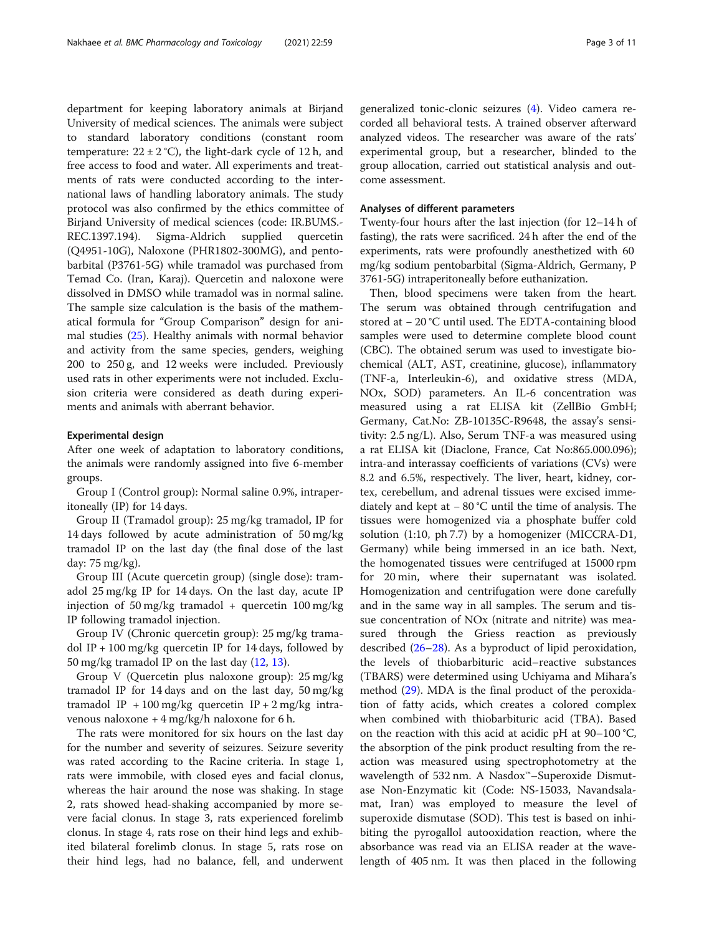department for keeping laboratory animals at Birjand University of medical sciences. The animals were subject to standard laboratory conditions (constant room temperature:  $22 \pm 2$  °C), the light-dark cycle of 12 h, and free access to food and water. All experiments and treatments of rats were conducted according to the international laws of handling laboratory animals. The study protocol was also confirmed by the ethics committee of Birjand University of medical sciences (code: IR.BUMS.- REC.1397.194). Sigma-Aldrich supplied quercetin (Q4951-10G), Naloxone (PHR1802-300MG), and pentobarbital (P3761-5G) while tramadol was purchased from Temad Co. (Iran, Karaj). Quercetin and naloxone were dissolved in DMSO while tramadol was in normal saline. The sample size calculation is the basis of the mathematical formula for "Group Comparison" design for animal studies ([25\)](#page-9-0). Healthy animals with normal behavior and activity from the same species, genders, weighing 200 to 250 g, and 12 weeks were included. Previously used rats in other experiments were not included. Exclusion criteria were considered as death during experiments and animals with aberrant behavior.

#### Experimental design

After one week of adaptation to laboratory conditions, the animals were randomly assigned into five 6-member groups.

Group I (Control group): Normal saline 0.9%, intraperitoneally (IP) for 14 days.

Group II (Tramadol group): 25 mg/kg tramadol, IP for 14 days followed by acute administration of 50 mg/kg tramadol IP on the last day (the final dose of the last day: 75 mg/kg).

Group III (Acute quercetin group) (single dose): tramadol 25 mg/kg IP for 14 days. On the last day, acute IP injection of 50 mg/kg tramadol + quercetin 100 mg/kg IP following tramadol injection.

Group IV (Chronic quercetin group): 25 mg/kg tramadol IP + 100 mg/kg quercetin IP for 14 days, followed by 50 mg/kg tramadol IP on the last day [\(12,](#page-8-0) [13\)](#page-9-0).

Group V (Quercetin plus naloxone group): 25 mg/kg tramadol IP for 14 days and on the last day, 50 mg/kg tramadol IP + 100 mg/kg quercetin IP + 2 mg/kg intravenous naloxone  $+4$  mg/kg/h naloxone for 6 h.

The rats were monitored for six hours on the last day for the number and severity of seizures. Seizure severity was rated according to the Racine criteria. In stage 1, rats were immobile, with closed eyes and facial clonus, whereas the hair around the nose was shaking. In stage 2, rats showed head-shaking accompanied by more severe facial clonus. In stage 3, rats experienced forelimb clonus. In stage 4, rats rose on their hind legs and exhibited bilateral forelimb clonus. In stage 5, rats rose on their hind legs, had no balance, fell, and underwent generalized tonic-clonic seizures ([4\)](#page-8-0). Video camera recorded all behavioral tests. A trained observer afterward analyzed videos. The researcher was aware of the rats' experimental group, but a researcher, blinded to the group allocation, carried out statistical analysis and outcome assessment.

#### Analyses of different parameters

Twenty-four hours after the last injection (for 12–14 h of fasting), the rats were sacrificed. 24 h after the end of the experiments, rats were profoundly anesthetized with 60 mg/kg sodium pentobarbital (Sigma-Aldrich, Germany, P 3761-5G) intraperitoneally before euthanization.

Then, blood specimens were taken from the heart. The serum was obtained through centrifugation and stored at − 20 °C until used. The EDTA-containing blood samples were used to determine complete blood count (CBC). The obtained serum was used to investigate biochemical (ALT, AST, creatinine, glucose), inflammatory (TNF-a, Interleukin-6), and oxidative stress (MDA, NOx, SOD) parameters. An IL-6 concentration was measured using a rat ELISA kit (ZellBio GmbH; Germany, Cat.No: ZB-10135C-R9648, the assay's sensitivity: 2.5 ng/L). Also, Serum TNF-a was measured using a rat ELISA kit (Diaclone, France, Cat No:865.000.096); intra-and interassay coefficients of variations (CVs) were 8.2 and 6.5%, respectively. The liver, heart, kidney, cortex, cerebellum, and adrenal tissues were excised immediately and kept at − 80 °C until the time of analysis. The tissues were homogenized via a phosphate buffer cold solution (1:10, ph 7.7) by a homogenizer (MICCRA-D1, Germany) while being immersed in an ice bath. Next, the homogenated tissues were centrifuged at 15000 rpm for 20 min, where their supernatant was isolated. Homogenization and centrifugation were done carefully and in the same way in all samples. The serum and tissue concentration of NOx (nitrate and nitrite) was measured through the Griess reaction as previously described [\(26](#page-9-0)–[28\)](#page-9-0). As a byproduct of lipid peroxidation, the levels of thiobarbituric acid–reactive substances (TBARS) were determined using Uchiyama and Mihara's method ([29\)](#page-9-0). MDA is the final product of the peroxidation of fatty acids, which creates a colored complex when combined with thiobarbituric acid (TBA). Based on the reaction with this acid at acidic pH at 90–100 °C, the absorption of the pink product resulting from the reaction was measured using spectrophotometry at the wavelength of 532 nm. A Nasdox™–Superoxide Dismutase Non-Enzymatic kit (Code: NS-15033, Navandsalamat, Iran) was employed to measure the level of superoxide dismutase (SOD). This test is based on inhibiting the pyrogallol autooxidation reaction, where the absorbance was read via an ELISA reader at the wavelength of 405 nm. It was then placed in the following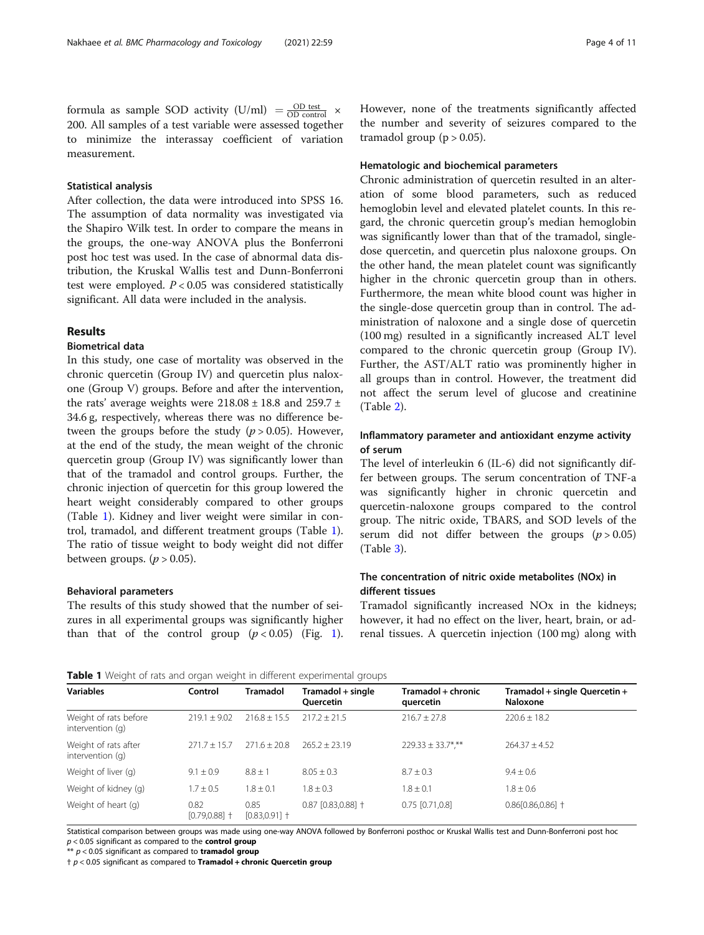formula as sample SOD activity  $(U/ml) = \frac{OD \text{ test}}{OD \text{ control}} \times$ 200. All samples of a test variable were assessed together to minimize the interassay coefficient of variation measurement.

#### Statistical analysis

After collection, the data were introduced into SPSS 16. The assumption of data normality was investigated via the Shapiro Wilk test. In order to compare the means in the groups, the one-way ANOVA plus the Bonferroni post hoc test was used. In the case of abnormal data distribution, the Kruskal Wallis test and Dunn-Bonferroni test were employed.  $P < 0.05$  was considered statistically significant. All data were included in the analysis.

#### Results

### Biometrical data

In this study, one case of mortality was observed in the chronic quercetin (Group IV) and quercetin plus naloxone (Group V) groups. Before and after the intervention, the rats' average weights were  $218.08 \pm 18.8$  and  $259.7 \pm 18.8$ 34.6 g, respectively, whereas there was no difference between the groups before the study ( $p > 0.05$ ). However, at the end of the study, the mean weight of the chronic quercetin group (Group IV) was significantly lower than that of the tramadol and control groups. Further, the chronic injection of quercetin for this group lowered the heart weight considerably compared to other groups (Table 1). Kidney and liver weight were similar in control, tramadol, and different treatment groups (Table 1). The ratio of tissue weight to body weight did not differ between groups. ( $p > 0.05$ ).

#### Behavioral parameters

The results of this study showed that the number of seizures in all experimental groups was significantly higher than that of the control group  $(p < 0.05)$  (Fig. [1](#page-4-0)). However, none of the treatments significantly affected the number and severity of seizures compared to the tramadol group ( $p > 0.05$ ).

#### Hematologic and biochemical parameters

Chronic administration of quercetin resulted in an alteration of some blood parameters, such as reduced hemoglobin level and elevated platelet counts. In this regard, the chronic quercetin group's median hemoglobin was significantly lower than that of the tramadol, singledose quercetin, and quercetin plus naloxone groups. On the other hand, the mean platelet count was significantly higher in the chronic quercetin group than in others. Furthermore, the mean white blood count was higher in the single-dose quercetin group than in control. The administration of naloxone and a single dose of quercetin (100 mg) resulted in a significantly increased ALT level compared to the chronic quercetin group (Group IV). Further, the AST/ALT ratio was prominently higher in all groups than in control. However, the treatment did not affect the serum level of glucose and creatinine (Table [2\)](#page-5-0).

### Inflammatory parameter and antioxidant enzyme activity of serum

The level of interleukin 6 (IL-6) did not significantly differ between groups. The serum concentration of TNF-a was significantly higher in chronic quercetin and quercetin-naloxone groups compared to the control group. The nitric oxide, TBARS, and SOD levels of the serum did not differ between the groups  $(p > 0.05)$ (Table [3\)](#page-5-0).

# The concentration of nitric oxide metabolites (NOx) in different tissues

Tramadol significantly increased NOx in the kidneys; however, it had no effect on the liver, heart, brain, or adrenal tissues. A quercetin injection (100 mg) along with

|  |  |  | Table 1 Weight of rats and organ weight in different experimental groups |  |
|--|--|--|--------------------------------------------------------------------------|--|
|  |  |  |                                                                          |  |

| <b>Variables</b>                          | Control                  | <b>Tramadol</b>          | Tramadol + single<br><b>Ouercetin</b> | Tramadol + chronic<br>quercetin | Tramadol + single Quercetin +<br><b>Naloxone</b> |  |
|-------------------------------------------|--------------------------|--------------------------|---------------------------------------|---------------------------------|--------------------------------------------------|--|
| Weight of rats before<br>intervention (g) | $719.1 + 9.02$           | $216.8 \pm 15.5$         | $217.2 + 21.5$                        | $216.7 \pm 27.8$                | $220.6 + 18.2$                                   |  |
| Weight of rats after<br>intervention (g)  | $271.7 + 15.7$           | $271.6 \pm 20.8$         | $265.2 \pm 23.19$                     | $229.33 \pm 33.7$ ***           | $264.37 \pm 4.52$                                |  |
| Weight of liver (g)                       | $9.1 \pm 0.9$            | $8.8 \pm 1$              | $8.05 + 0.3$                          | $8.7 \pm 0.3$                   | $9.4 \pm 0.6$                                    |  |
| Weight of kidney (g)                      | $1.7 \pm 0.5$            | $1.8 \pm 0.1$            | $1.8 + 0.3$                           | $1.8 \pm 0.1$                   | $1.8 \pm 0.6$                                    |  |
| Weight of heart (g)                       | 0.82<br>$[0.79, 0.88]$ + | 0.85<br>$[0.83, 0.91]$ † | $0.87$ [0.83,0.88] $\dagger$          | $0.75$ [0.71,0.8]               | $0.86[0.86, 0.86]$ †                             |  |

Statistical comparison between groups was made using one-way ANOVA followed by Bonferroni posthoc or Kruskal Wallis test and Dunn-Bonferroni post hoc  $p < 0.05$  significant as compared to the **control group** 

 $** p < 0.05$  significant as compared to **tramadol group** 

 $\uparrow$   $p$  < 0.05 significant as compared to Tramadol + chronic Quercetin group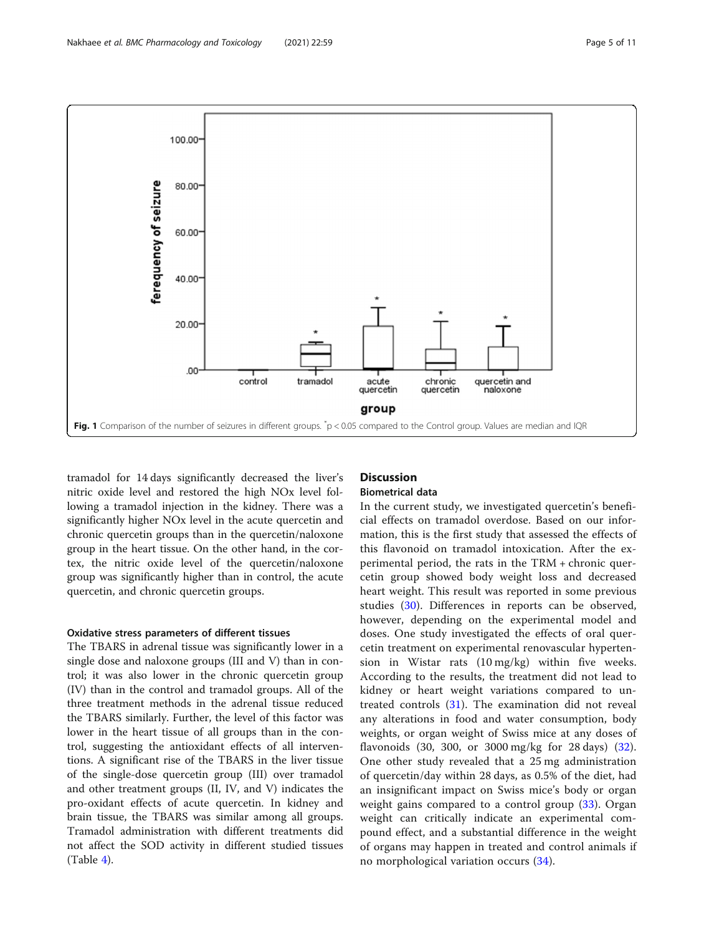<span id="page-4-0"></span>

tramadol for 14 days significantly decreased the liver's nitric oxide level and restored the high NOx level following a tramadol injection in the kidney. There was a significantly higher NOx level in the acute quercetin and chronic quercetin groups than in the quercetin/naloxone group in the heart tissue. On the other hand, in the cortex, the nitric oxide level of the quercetin/naloxone group was significantly higher than in control, the acute quercetin, and chronic quercetin groups.

#### Oxidative stress parameters of different tissues

The TBARS in adrenal tissue was significantly lower in a single dose and naloxone groups (III and V) than in control; it was also lower in the chronic quercetin group (IV) than in the control and tramadol groups. All of the three treatment methods in the adrenal tissue reduced the TBARS similarly. Further, the level of this factor was lower in the heart tissue of all groups than in the control, suggesting the antioxidant effects of all interventions. A significant rise of the TBARS in the liver tissue of the single-dose quercetin group (III) over tramadol and other treatment groups (II, IV, and V) indicates the pro-oxidant effects of acute quercetin. In kidney and brain tissue, the TBARS was similar among all groups. Tramadol administration with different treatments did not affect the SOD activity in different studied tissues  $(Table 4)$  $(Table 4)$ .

# **Discussion**

#### Biometrical data

In the current study, we investigated quercetin's beneficial effects on tramadol overdose. Based on our information, this is the first study that assessed the effects of this flavonoid on tramadol intoxication. After the experimental period, the rats in the TRM + chronic quercetin group showed body weight loss and decreased heart weight. This result was reported in some previous studies [\(30](#page-9-0)). Differences in reports can be observed, however, depending on the experimental model and doses. One study investigated the effects of oral quercetin treatment on experimental renovascular hypertension in Wistar rats (10 mg/kg) within five weeks. According to the results, the treatment did not lead to kidney or heart weight variations compared to untreated controls [\(31](#page-9-0)). The examination did not reveal any alterations in food and water consumption, body weights, or organ weight of Swiss mice at any doses of flavonoids (30, 300, or 3000 mg/kg for 28 days) [\(32](#page-9-0)). One other study revealed that a 25 mg administration of quercetin/day within 28 days, as 0.5% of the diet, had an insignificant impact on Swiss mice's body or organ weight gains compared to a control group ([33\)](#page-9-0). Organ weight can critically indicate an experimental compound effect, and a substantial difference in the weight of organs may happen in treated and control animals if no morphological variation occurs [\(34](#page-9-0)).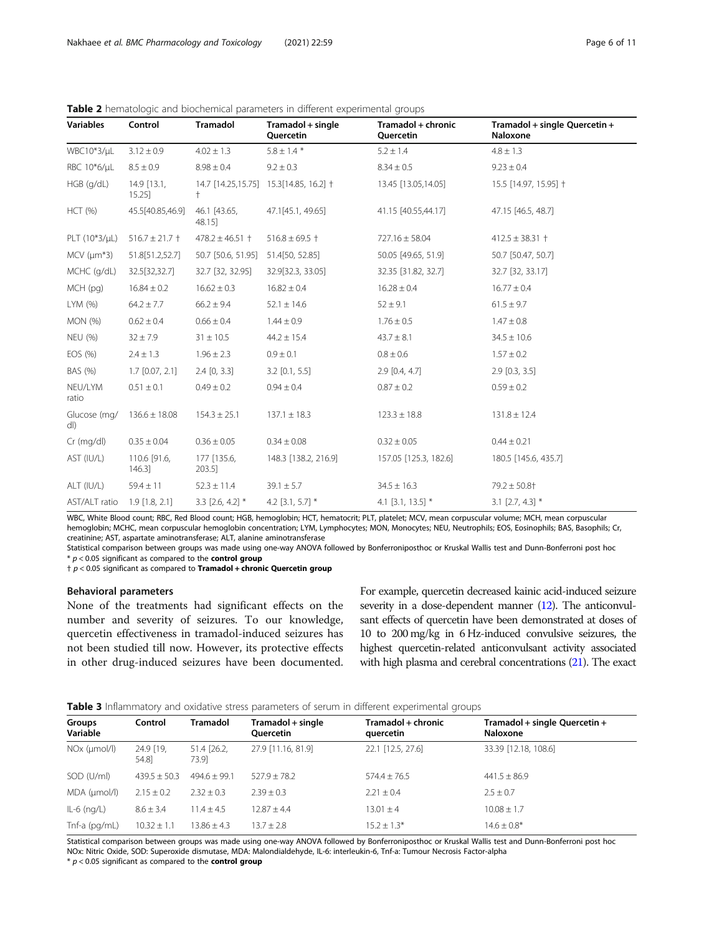<span id="page-5-0"></span>

| <b>Table 2</b> hematologic and biochemical parameters in different experimental groups |  |  |  |
|----------------------------------------------------------------------------------------|--|--|--|
|                                                                                        |  |  |  |

| <b>Variables</b>                | Control                   | Tramadol               | Tramadol + single<br>Quercetin          | Tramadol + chronic<br>Quercetin | Tramadol + single Quercetin +<br>Naloxone |
|---------------------------------|---------------------------|------------------------|-----------------------------------------|---------------------------------|-------------------------------------------|
| WBC10*3/µL                      | $3.12 \pm 0.9$            | $4.02 \pm 1.3$         | $5.8 \pm 1.4$ *                         | $5.2 \pm 1.4$                   | $4.8 \pm 1.3$                             |
| RBC 10*6/µL                     | $8.5 \pm 0.9$             | $8.98 \pm 0.4$         | $9.2 \pm 0.3$                           | $8.34 \pm 0.5$                  | $9.23 \pm 0.4$                            |
| $HGB$ (g/dL)                    | $14.9$ [13.1,<br>15.25    | $^{+}$                 | 14.7 [14.25,15.75] 15.3 [14.85, 16.2] + | 13.45 [13.05,14.05]             | 15.5 [14.97, 15.95] †                     |
| <b>HCT (%)</b>                  | 45.5[40.85,46.9]          | 46.1 [43.65,<br>48.15] | 47.1[45.1, 49.65]                       | 41.15 [40.55,44.17]             | 47.15 [46.5, 48.7]                        |
| PLT $(10*3/\mu L)$              | $516.7 \pm 21.7 +$        | $478.2 \pm 46.51 +$    | $516.8 \pm 69.5$ †                      | $727.16 \pm 58.04$              | $412.5 \pm 38.31 +$                       |
| $MCV$ ( $\mu$ m <sup>*</sup> 3) | 51.8[51.2,52.7]           | 50.7 [50.6, 51.95]     | 51.4[50, 52.85]                         | 50.05 [49.65, 51.9]             | 50.7 [50.47, 50.7]                        |
| MCHC (g/dL)                     | 32.5[32,32.7]             | 32.7 [32, 32.95]       | 32.9[32.3, 33.05]                       | 32.35 [31.82, 32.7]             | 32.7 [32, 33.17]                          |
| $MCH$ (pg)                      | $16.84 \pm 0.2$           | $16.62 \pm 0.3$        | $16.82 \pm 0.4$                         | $16.28 \pm 0.4$                 | $16.77 \pm 0.4$                           |
| LYM (%)                         | $64.2 \pm 7.7$            | $66.2 \pm 9.4$         | $52.1 \pm 14.6$                         | $52 \pm 9.1$                    | $61.5 \pm 9.7$                            |
| <b>MON</b> (%)                  | $0.62 \pm 0.4$            | $0.66 \pm 0.4$         | $1.44 \pm 0.9$                          | $1.76 \pm 0.5$                  | $1.47 \pm 0.8$                            |
| <b>NEU (%)</b>                  | $32 \pm 7.9$              | $31 \pm 10.5$          | $44.2 \pm 15.4$                         | $43.7 \pm 8.1$                  | $34.5 \pm 10.6$                           |
| EOS (%)                         | $2.4 \pm 1.3$             | $1.96 \pm 2.3$         | $0.9 \pm 0.1$                           | $0.8 \pm 0.6$                   | $1.57 \pm 0.2$                            |
| BAS (%)                         | $1.7$ [0.07, 2.1]         | $2.4$ [0, 3.3]         | $3.2$ [0.1, 5.5]                        | $2.9$ [0.4, 4.7]                | $2.9$ [0.3, 3.5]                          |
| NEU/LYM<br>ratio                | $0.51 \pm 0.1$            | $0.49 \pm 0.2$         | $0.94 \pm 0.4$                          | $0.87 \pm 0.2$                  | $0.59 \pm 0.2$                            |
| Glucose (mg/<br>dl)             | $136.6 \pm 18.08$         | $154.3 \pm 25.1$       | $137.1 \pm 18.3$                        | $123.3 \pm 18.8$                | $131.8 \pm 12.4$                          |
| $Cr$ (mg/dl)                    | $0.35 \pm 0.04$           | $0.36 \pm 0.05$        | $0.34 \pm 0.08$                         | $0.32 \pm 0.05$                 | $0.44 \pm 0.21$                           |
| AST (IU/L)                      | 110.6 [91.6,<br>$146.3$ ] | 177 [135.6,<br>203.5]  | 148.3 [138.2, 216.9]                    | 157.05 [125.3, 182.6]           | 180.5 [145.6, 435.7]                      |
| ALT (IU/L)                      | $59.4 \pm 11$             | $52.3 \pm 11.4$        | $39.1 \pm 5.7$                          | $34.5 \pm 16.3$                 | $79.2 \pm 50.8$ †                         |
| AST/ALT ratio                   | $1.9$ [1.8, 2.1]          | 3.3 $[2.6, 4.2]$ *     | 4.2 $[3.1, 5.7]$ *                      | 4.1 $[3.1, 13.5]$ *             | $3.1$ [2.7, 4.3] $*$                      |

WBC, White Blood count; RBC, Red Blood count; HGB, hemoglobin; HCT, hematocrit; PLT, platelet; MCV, mean corpuscular volume; MCH, mean corpuscular hemoglobin; MCHC, mean corpuscular hemoglobin concentration; LYM, Lymphocytes; MON, Monocytes; NEU, Neutrophils; EOS, Eosinophils; BAS, Basophils; Cr, creatinine; AST, aspartate aminotransferase; ALT, alanine aminotransferase

Statistical comparison between groups was made using one-way ANOVA followed by Bonferroniposthoc or Kruskal Wallis test and Dunn-Bonferroni post hoc  $* p < 0.05$  significant as compared to the **control group** 

 $\uparrow$  p < 0.05 significant as compared to Tramadol + chronic Quercetin group

#### Behavioral parameters

None of the treatments had significant effects on the number and severity of seizures. To our knowledge, quercetin effectiveness in tramadol-induced seizures has not been studied till now. However, its protective effects in other drug-induced seizures have been documented. For example, quercetin decreased kainic acid-induced seizure severity in a dose-dependent manner [\(12](#page-8-0)). The anticonvulsant effects of quercetin have been demonstrated at doses of 10 to 200 mg/kg in 6 Hz-induced convulsive seizures, the highest quercetin-related anticonvulsant activity associated with high plasma and cerebral concentrations [\(21](#page-9-0)). The exact

| <b>Table 3</b> Inflammatory and oxidative stress parameters of serum in different experimental groups |  |  |  |  |  |
|-------------------------------------------------------------------------------------------------------|--|--|--|--|--|
|-------------------------------------------------------------------------------------------------------|--|--|--|--|--|

| Groups<br>Variable       | Control            | <b>Tramadol</b>      | Tramadol + single<br><b>Ouercetin</b> | Tramadol + chronic<br>quercetin | Tramadol + single Quercetin +<br><b>Naloxone</b> |
|--------------------------|--------------------|----------------------|---------------------------------------|---------------------------------|--------------------------------------------------|
| NO <sub>x</sub> (µmol/l) | 24.9 [19,<br>54.81 | 51.4 [26.2,<br>73.91 | 27.9 [11.16, 81.9]                    | 22.1 [12.5, 27.6]               | 33.39 [12.18, 108.6]                             |
| SOD (U/ml)               | $439.5 \pm 50.3$   | $494.6 \pm 99.1$     | $527.9 \pm 78.2$                      | $574.4 \pm 76.5$                | $441.5 \pm 86.9$                                 |
| MDA (umol/l)             | $2.15 \pm 0.2$     | $2.32 \pm 0.3$       | $2.39 \pm 0.3$                        | $2.21 \pm 0.4$                  | $2.5 \pm 0.7$                                    |
| $IL-6$ (ng/ $L$ )        | $8.6 \pm 3.4$      | $11.4 \pm 4.5$       | $2.87 \pm 4.4$                        | $13.01 \pm 4$                   | $10.08 \pm 1.7$                                  |
| Tnf-a (pg/mL)            | $10.32 \pm 1.1$    | $13.86 \pm 4.3$      | $3.7 \pm 2.8$                         | $15.2 \pm 1.3*$                 | $14.6 \pm 0.8^*$                                 |

Statistical comparison between groups was made using one-way ANOVA followed by Bonferroniposthoc or Kruskal Wallis test and Dunn-Bonferroni post hoc NOx: Nitric Oxide, SOD: Superoxide dismutase, MDA: Malondialdehyde, IL-6: interleukin-6, Tnf-a: Tumour Necrosis Factor-alpha

 $* p < 0.05$  significant as compared to the **control group**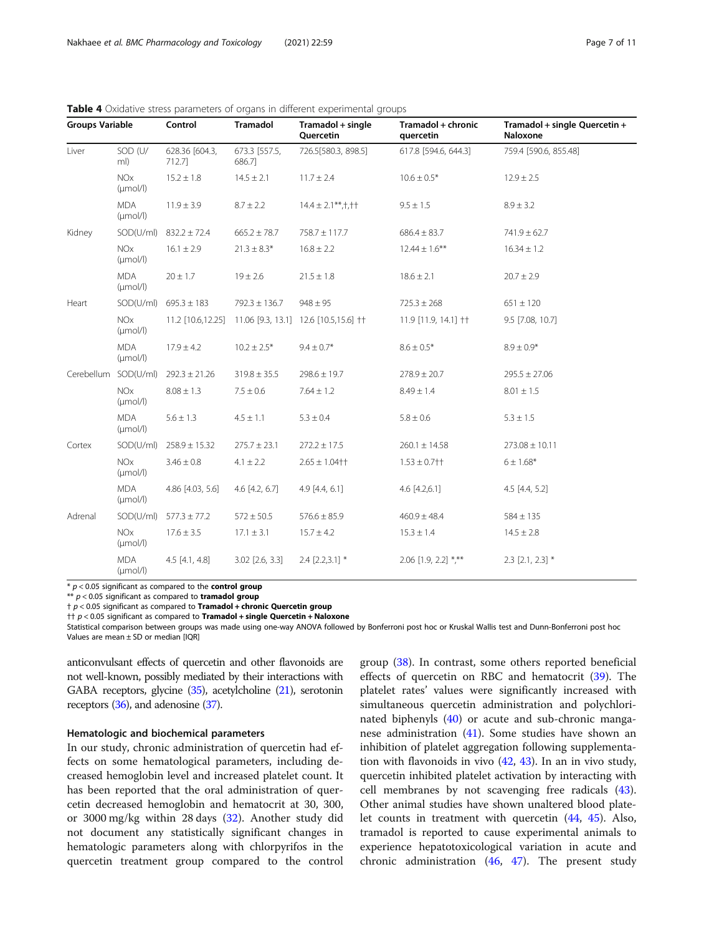| <b>Groups Variable</b> |                                    | Control                       | Tramadol                | Tramadol + single<br>Quercetin                          | Tramadol + chronic<br>quercetin | Tramadol + single Quercetin +<br>Naloxone |  |
|------------------------|------------------------------------|-------------------------------|-------------------------|---------------------------------------------------------|---------------------------------|-------------------------------------------|--|
| Liver                  | SOD (U/<br>ml)                     | 628.36 [604.3,<br>712.7       | 673.3 [557.5,<br>686.71 | 726.5[580.3, 898.5]                                     | 617.8 [594.6, 644.3]            | 759.4 [590.6, 855.48]                     |  |
|                        | <b>NOx</b><br>$(\mu \text{mol/l})$ | $15.2 \pm 1.8$                | $14.5 \pm 2.1$          | $11.7 \pm 2.4$                                          | $10.6 \pm 0.5*$                 | $12.9 \pm 2.5$                            |  |
|                        | <b>MDA</b><br>$(\mu \text{mol/l})$ | $11.9 \pm 3.9$                | $8.7 \pm 2.2$           | $14.4 \pm 2.1***$ , † † †                               | $9.5 \pm 1.5$                   | $8.9 \pm 3.2$                             |  |
| Kidney                 |                                    | SOD(U/ml) $832.2 \pm 72.4$    | $665.2 \pm 78.7$        | $758.7 \pm 117.7$                                       | $686.4 \pm 83.7$                | $741.9 \pm 62.7$                          |  |
|                        | <b>NOx</b><br>$(\mu \text{mol/l})$ | $16.1 \pm 2.9$                | $21.3 \pm 8.3*$         | $16.8 \pm 2.2$                                          | $12.44 \pm 1.6***$              | $16.34 \pm 1.2$                           |  |
|                        | <b>MDA</b><br>$(\mu \text{mol/l})$ | $20 \pm 1.7$                  | $19 \pm 2.6$            | $21.5 \pm 1.8$                                          | $18.6 \pm 2.1$                  | $20.7 \pm 2.9$                            |  |
| Heart                  |                                    | $SOD(U/ml)$ 695.3 $\pm$ 183   | $792.3 \pm 136.7$       | $948 \pm 95$                                            | $725.3 \pm 268$                 | $651 \pm 120$                             |  |
|                        | <b>NOx</b><br>$(\mu \text{mol/l})$ |                               |                         | 11.2 [10.6,12.25] 11.06 [9.3, 13.1] 12.6 [10.5,15.6] †† | 11.9 [11.9, 14.1] ††            | 9.5 [7.08, 10.7]                          |  |
|                        | <b>MDA</b><br>$(\mu \text{mol/l})$ | $17.9 \pm 4.2$                | $10.2 \pm 2.5*$         | $9.4 \pm 0.7$ *                                         | $8.6 \pm 0.5*$                  | $8.9 \pm 0.9*$                            |  |
|                        | Cerebellum SOD(U/ml)               | $292.3 \pm 21.26$             | $319.8 \pm 35.5$        | $298.6 \pm 19.7$                                        | $278.9 \pm 20.7$                | $295.5 \pm 27.06$                         |  |
|                        | <b>NOx</b><br>$(\mu \text{mol/l})$ | $8.08 \pm 1.3$                | $7.5 \pm 0.6$           | $7.64 \pm 1.2$                                          | $8.49 \pm 1.4$                  | $8.01 \pm 1.5$                            |  |
|                        | <b>MDA</b><br>$(\mu \text{mol/l})$ | $5.6 \pm 1.3$                 | $4.5 \pm 1.1$           | $5.3 \pm 0.4$                                           | $5.8 \pm 0.6$                   | $5.3 \pm 1.5$                             |  |
| Cortex                 |                                    | $SOD(U/ml)$ 258.9 $\pm$ 15.32 | $275.7 \pm 23.1$        | $272.2 \pm 17.5$                                        | $260.1 \pm 14.58$               | $273.08 \pm 10.11$                        |  |
|                        | <b>NOx</b><br>$(\mu \text{mol/l})$ | $3.46 \pm 0.8$                | $4.1 \pm 2.2$           | $2.65 \pm 1.04$ † †                                     | $1.53 \pm 0.7$ † †              | $6 \pm 1.68*$                             |  |
|                        | <b>MDA</b><br>$(\mu \text{mol/l})$ | 4.86 [4.03, 5.6]              | $4.6$ [ $4.2$ , $6.7$ ] | 4.9 [4.4, 6.1]                                          | 4.6 [4.2,6.1]                   | $4.5$ [4.4, 5.2]                          |  |
| Adrenal                | SOD(U/ml)                          | $577.3 \pm 77.2$              | $572 \pm 50.5$          | $576.6 \pm 85.9$                                        | $460.9 \pm 48.4$                | $584 \pm 135$                             |  |
|                        | <b>NOx</b><br>$(\mu \text{mol/l})$ | $17.6 \pm 3.5$                | $17.1 \pm 3.1$          | $15.7 \pm 4.2$                                          | $15.3 \pm 1.4$                  | $14.5 \pm 2.8$                            |  |
|                        | <b>MDA</b><br>$(\mu \text{mol/l})$ | $4.5$ [4.1, 4.8]              | $3.02$ [2.6, 3.3]       | $2.4$ [2.2,3.1] *                                       | $2.06$ [1.9, 2.2] *,**          | $2.3$ [2.1, 2.3] $*$                      |  |

<span id="page-6-0"></span>Table 4 Oxidative stress parameters of organs in different experimental groups

 $*$   $p < 0.05$  significant as compared to the **control group** 

 $**$   $p < 0.05$  significant as compared to **tramadol group** 

 $\uparrow$   $p$  < 0.05 significant as compared to **Tramadol + chronic Quercetin group** 

 $\uparrow\uparrow p$  < 0.05 significant as compared to **Tramadol + single Quercetin + Naloxone** 

Statistical comparison between groups was made using one-way ANOVA followed by Bonferroni post hoc or Kruskal Wallis test and Dunn-Bonferroni post hoc Values are mean  $\pm$  SD or median [IOR]

anticonvulsant effects of quercetin and other flavonoids are not well-known, possibly mediated by their interactions with GABA receptors, glycine ([35\)](#page-9-0), acetylcholine [\(21](#page-9-0)), serotonin receptors [\(36\)](#page-9-0), and adenosine [\(37](#page-9-0)).

#### Hematologic and biochemical parameters

In our study, chronic administration of quercetin had effects on some hematological parameters, including decreased hemoglobin level and increased platelet count. It has been reported that the oral administration of quercetin decreased hemoglobin and hematocrit at 30, 300, or 3000 mg/kg within 28 days ([32](#page-9-0)). Another study did not document any statistically significant changes in hematologic parameters along with chlorpyrifos in the quercetin treatment group compared to the control group ([38\)](#page-9-0). In contrast, some others reported beneficial effects of quercetin on RBC and hematocrit [\(39](#page-9-0)). The platelet rates' values were significantly increased with simultaneous quercetin administration and polychlorinated biphenyls [\(40](#page-9-0)) or acute and sub-chronic manganese administration  $(41)$  $(41)$ . Some studies have shown an inhibition of platelet aggregation following supplementation with flavonoids in vivo ([42](#page-9-0), [43\)](#page-9-0). In an in vivo study, quercetin inhibited platelet activation by interacting with cell membranes by not scavenging free radicals [\(43](#page-9-0)). Other animal studies have shown unaltered blood platelet counts in treatment with quercetin ([44](#page-9-0), [45\)](#page-9-0). Also, tramadol is reported to cause experimental animals to experience hepatotoxicological variation in acute and chronic administration  $(46, 47)$  $(46, 47)$  $(46, 47)$ . The present study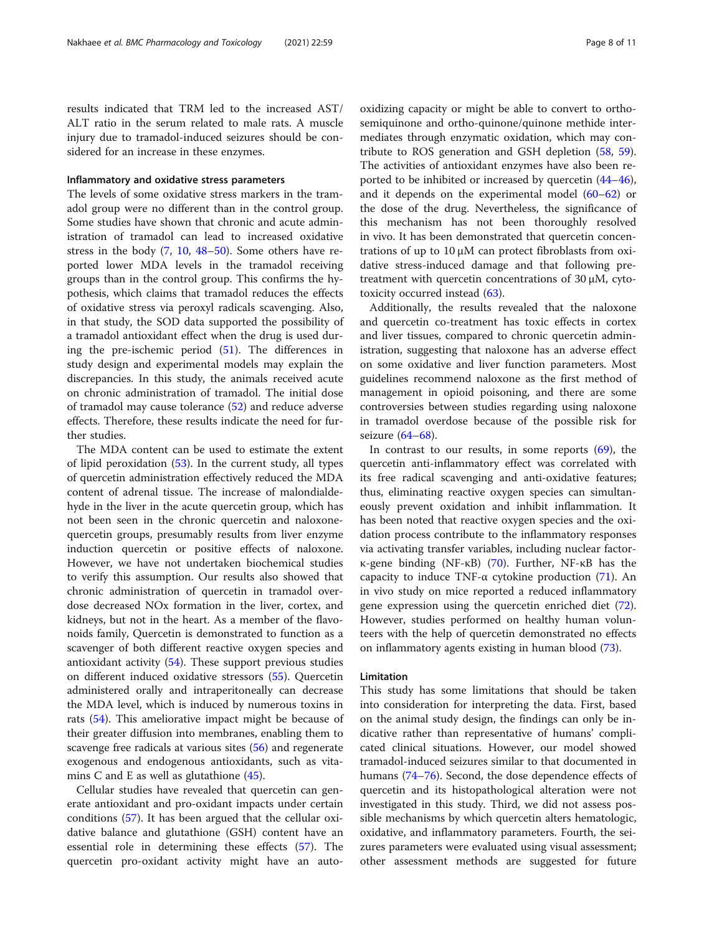results indicated that TRM led to the increased AST/ ALT ratio in the serum related to male rats. A muscle injury due to tramadol-induced seizures should be considered for an increase in these enzymes.

#### Inflammatory and oxidative stress parameters

The levels of some oxidative stress markers in the tramadol group were no different than in the control group. Some studies have shown that chronic and acute administration of tramadol can lead to increased oxidative stress in the body ([7,](#page-8-0) [10,](#page-8-0) [48](#page-9-0)–[50](#page-10-0)). Some others have reported lower MDA levels in the tramadol receiving groups than in the control group. This confirms the hypothesis, which claims that tramadol reduces the effects of oxidative stress via peroxyl radicals scavenging. Also, in that study, the SOD data supported the possibility of a tramadol antioxidant effect when the drug is used during the pre-ischemic period ([51\)](#page-10-0). The differences in study design and experimental models may explain the discrepancies. In this study, the animals received acute on chronic administration of tramadol. The initial dose of tramadol may cause tolerance ([52\)](#page-10-0) and reduce adverse effects. Therefore, these results indicate the need for further studies.

The MDA content can be used to estimate the extent of lipid peroxidation [\(53\)](#page-10-0). In the current study, all types of quercetin administration effectively reduced the MDA content of adrenal tissue. The increase of malondialdehyde in the liver in the acute quercetin group, which has not been seen in the chronic quercetin and naloxonequercetin groups, presumably results from liver enzyme induction quercetin or positive effects of naloxone. However, we have not undertaken biochemical studies to verify this assumption. Our results also showed that chronic administration of quercetin in tramadol overdose decreased NOx formation in the liver, cortex, and kidneys, but not in the heart. As a member of the flavonoids family, Quercetin is demonstrated to function as a scavenger of both different reactive oxygen species and antioxidant activity [\(54](#page-10-0)). These support previous studies on different induced oxidative stressors [\(55](#page-10-0)). Quercetin administered orally and intraperitoneally can decrease the MDA level, which is induced by numerous toxins in rats ([54\)](#page-10-0). This ameliorative impact might be because of their greater diffusion into membranes, enabling them to scavenge free radicals at various sites [\(56\)](#page-10-0) and regenerate exogenous and endogenous antioxidants, such as vitamins C and E as well as glutathione [\(45](#page-9-0)).

Cellular studies have revealed that quercetin can generate antioxidant and pro-oxidant impacts under certain conditions [\(57\)](#page-10-0). It has been argued that the cellular oxidative balance and glutathione (GSH) content have an essential role in determining these effects ([57\)](#page-10-0). The quercetin pro-oxidant activity might have an autooxidizing capacity or might be able to convert to orthosemiquinone and ortho-quinone/quinone methide intermediates through enzymatic oxidation, which may contribute to ROS generation and GSH depletion [\(58](#page-10-0), [59](#page-10-0)). The activities of antioxidant enzymes have also been reported to be inhibited or increased by quercetin ([44](#page-9-0)–[46](#page-9-0)), and it depends on the experimental model [\(60](#page-10-0)–[62](#page-10-0)) or the dose of the drug. Nevertheless, the significance of this mechanism has not been thoroughly resolved in vivo. It has been demonstrated that quercetin concentrations of up to 10 μM can protect fibroblasts from oxidative stress-induced damage and that following pretreatment with quercetin concentrations of 30 μM, cytotoxicity occurred instead [\(63\)](#page-10-0).

Additionally, the results revealed that the naloxone and quercetin co-treatment has toxic effects in cortex and liver tissues, compared to chronic quercetin administration, suggesting that naloxone has an adverse effect on some oxidative and liver function parameters. Most guidelines recommend naloxone as the first method of management in opioid poisoning, and there are some controversies between studies regarding using naloxone in tramadol overdose because of the possible risk for seizure [\(64](#page-10-0)–[68\)](#page-10-0).

In contrast to our results, in some reports  $(69)$  $(69)$ , the quercetin anti-inflammatory effect was correlated with its free radical scavenging and anti-oxidative features; thus, eliminating reactive oxygen species can simultaneously prevent oxidation and inhibit inflammation. It has been noted that reactive oxygen species and the oxidation process contribute to the inflammatory responses via activating transfer variables, including nuclear factorκ-gene binding (NF-κB) ([70\)](#page-10-0). Further, NF-κB has the capacity to induce TNF- $\alpha$  cytokine production [\(71](#page-10-0)). An in vivo study on mice reported a reduced inflammatory gene expression using the quercetin enriched diet [\(72](#page-10-0)). However, studies performed on healthy human volunteers with the help of quercetin demonstrated no effects on inflammatory agents existing in human blood ([73\)](#page-10-0).

#### Limitation

This study has some limitations that should be taken into consideration for interpreting the data. First, based on the animal study design, the findings can only be indicative rather than representative of humans' complicated clinical situations. However, our model showed tramadol-induced seizures similar to that documented in humans [\(74](#page-10-0)–[76](#page-10-0)). Second, the dose dependence effects of quercetin and its histopathological alteration were not investigated in this study. Third, we did not assess possible mechanisms by which quercetin alters hematologic, oxidative, and inflammatory parameters. Fourth, the seizures parameters were evaluated using visual assessment; other assessment methods are suggested for future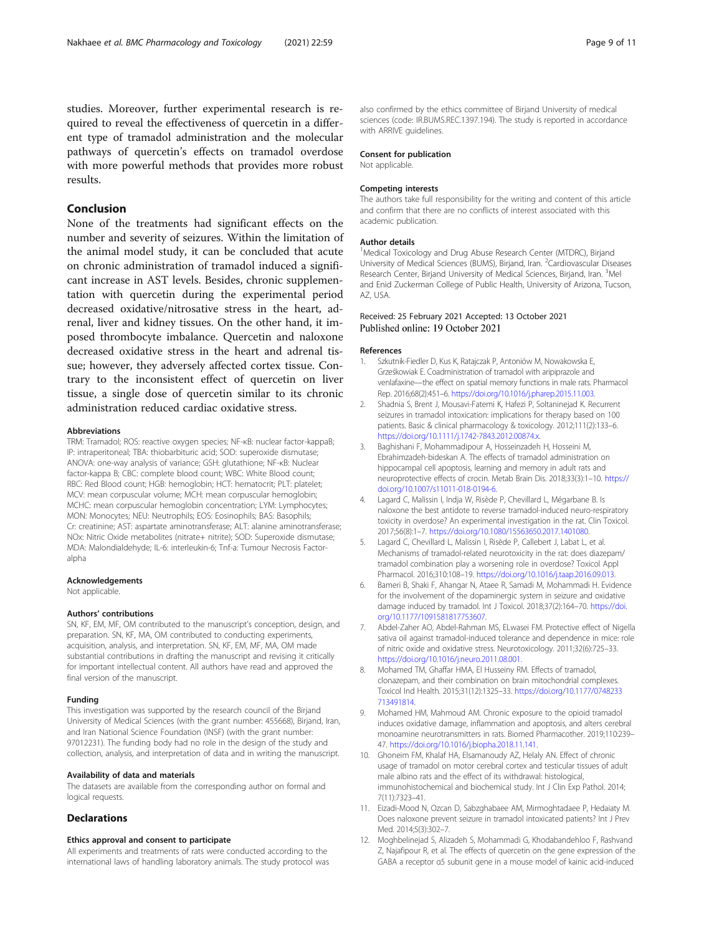<span id="page-8-0"></span>studies. Moreover, further experimental research is required to reveal the effectiveness of quercetin in a different type of tramadol administration and the molecular pathways of quercetin's effects on tramadol overdose with more powerful methods that provides more robust results.

### Conclusion

None of the treatments had significant effects on the number and severity of seizures. Within the limitation of the animal model study, it can be concluded that acute on chronic administration of tramadol induced a significant increase in AST levels. Besides, chronic supplementation with quercetin during the experimental period decreased oxidative/nitrosative stress in the heart, adrenal, liver and kidney tissues. On the other hand, it imposed thrombocyte imbalance. Quercetin and naloxone decreased oxidative stress in the heart and adrenal tissue; however, they adversely affected cortex tissue. Contrary to the inconsistent effect of quercetin on liver tissue, a single dose of quercetin similar to its chronic administration reduced cardiac oxidative stress.

#### Abbreviations

TRM: Tramadol; ROS: reactive oxygen species; NF-κB: nuclear factor-kappaB; IP: intraperitoneal; TBA: thiobarbituric acid; SOD: superoxide dismutase; ANOVA: one-way analysis of variance; GSH: glutathione; NF-κB: Nuclear factor-kappa B; CBC: complete blood count; WBC: White Blood count; RBC: Red Blood count; HGB: hemoglobin; HCT: hematocrit; PLT: platelet; MCV: mean corpuscular volume; MCH: mean corpuscular hemoglobin; MCHC: mean corpuscular hemoglobin concentration; LYM: Lymphocytes; MON: Monocytes; NEU: Neutrophils; EOS: Eosinophils; BAS: Basophils; Cr: creatinine; AST: aspartate aminotransferase; ALT: alanine aminotransferase; NOx: Nitric Oxide metabolites (nitrate+ nitrite); SOD: Superoxide dismutase; MDA: Malondialdehyde; IL-6: interleukin-6; Tnf-a: Tumour Necrosis Factoralpha

#### Acknowledgements

Not applicable.

#### Authors' contributions

SN, KF, EM, MF, OM contributed to the manuscript's conception, design, and preparation. SN, KF, MA, OM contributed to conducting experiments, acquisition, analysis, and interpretation. SN, KF, EM, MF, MA, OM made substantial contributions in drafting the manuscript and revising it critically for important intellectual content. All authors have read and approved the final version of the manuscript.

#### Funding

This investigation was supported by the research council of the Birjand University of Medical Sciences (with the grant number: 455668), Birjand, Iran, and Iran National Science Foundation (INSF) (with the grant number: 97012231). The funding body had no role in the design of the study and collection, analysis, and interpretation of data and in writing the manuscript.

#### Availability of data and materials

The datasets are available from the corresponding author on formal and logical requests.

#### **Declarations**

#### Ethics approval and consent to participate

All experiments and treatments of rats were conducted according to the international laws of handling laboratory animals. The study protocol was also confirmed by the ethics committee of Birjand University of medical sciences (code: IR.BUMS.REC.1397.194). The study is reported in accordance with ARRIVE guidelines.

#### Consent for publication

Not applicable.

#### Competing interests

The authors take full responsibility for the writing and content of this article and confirm that there are no conflicts of interest associated with this academic publication.

#### Author details

<sup>1</sup>Medical Toxicology and Drug Abuse Research Center (MTDRC), Birjand University of Medical Sciences (BUMS), Birjand, Iran. <sup>2</sup>Cardiovascular Diseases Research Center, Birjand University of Medical Sciences, Birjand, Iran. <sup>3</sup>Mel and Enid Zuckerman College of Public Health, University of Arizona, Tucson, AZ, USA.

#### Received: 25 February 2021 Accepted: 13 October 2021 Published online: 19 October 2021

#### References

- 1. Szkutnik-Fiedler D, Kus K, Ratajczak P, Antoniów M, Nowakowska E, Grześkowiak E. Coadministration of tramadol with aripiprazole and venlafaxine—the effect on spatial memory functions in male rats. Pharmacol Rep. 2016;68(2):451–6. <https://doi.org/10.1016/j.pharep.2015.11.003>.
- 2. Shadnia S, Brent J, Mousavi-Fatemi K, Hafezi P, Soltaninejad K. Recurrent seizures in tramadol intoxication: implications for therapy based on 100 patients. Basic & clinical pharmacology & toxicology. 2012;111(2):133–6. <https://doi.org/10.1111/j.1742-7843.2012.00874.x>.
- 3. Baghishani F, Mohammadipour A, Hosseinzadeh H, Hosseini M, Ebrahimzadeh-bideskan A. The effects of tramadol administration on hippocampal cell apoptosis, learning and memory in adult rats and neuroprotective effects of crocin. Metab Brain Dis. 2018;33(3):1–10. [https://](https://doi.org/10.1007/s11011-018-0194-6) [doi.org/10.1007/s11011-018-0194-6.](https://doi.org/10.1007/s11011-018-0194-6)
- 4. Lagard C, Malissin I, Indja W, Risède P, Chevillard L, Mégarbane B. Is naloxone the best antidote to reverse tramadol-induced neuro-respiratory toxicity in overdose? An experimental investigation in the rat. Clin Toxicol. 2017;56(8):1–7. [https://doi.org/10.1080/15563650.2017.1401080.](https://doi.org/10.1080/15563650.2017.1401080)
- Lagard C, Chevillard L, Malissin I, Risède P, Callebert J, Labat L, et al. Mechanisms of tramadol-related neurotoxicity in the rat: does diazepam/ tramadol combination play a worsening role in overdose? Toxicol Appl Pharmacol. 2016;310:108–19. [https://doi.org/10.1016/j.taap.2016.09.013.](https://doi.org/10.1016/j.taap.2016.09.013)
- 6. Bameri B, Shaki F, Ahangar N, Ataee R, Samadi M, Mohammadi H. Evidence for the involvement of the dopaminergic system in seizure and oxidative damage induced by tramadol. Int J Toxicol. 2018;37(2):164–70. [https://doi.](https://doi.org/10.1177/1091581817753607) [org/10.1177/1091581817753607.](https://doi.org/10.1177/1091581817753607)
- 7. Abdel-Zaher AO, Abdel-Rahman MS, ELwasei FM. Protective effect of Nigella sativa oil against tramadol-induced tolerance and dependence in mice: role of nitric oxide and oxidative stress. Neurotoxicology. 2011;32(6):725–33. [https://doi.org/10.1016/j.neuro.2011.08.001.](https://doi.org/10.1016/j.neuro.2011.08.001)
- 8. Mohamed TM, Ghaffar HMA, El Husseiny RM. Effects of tramadol, clonazepam, and their combination on brain mitochondrial complexes. Toxicol Ind Health. 2015;31(12):1325–33. [https://doi.org/10.1177/0748233](https://doi.org/10.1177/0748233713491814) [713491814](https://doi.org/10.1177/0748233713491814).
- 9. Mohamed HM, Mahmoud AM. Chronic exposure to the opioid tramadol induces oxidative damage, inflammation and apoptosis, and alters cerebral monoamine neurotransmitters in rats. Biomed Pharmacother. 2019;110:239– 47. [https://doi.org/10.1016/j.biopha.2018.11.141.](https://doi.org/10.1016/j.biopha.2018.11.141)
- 10. Ghoneim FM, Khalaf HA, Elsamanoudy AZ, Helaly AN. Effect of chronic usage of tramadol on motor cerebral cortex and testicular tissues of adult male albino rats and the effect of its withdrawal: histological, immunohistochemical and biochemical study. Int J Clin Exp Pathol. 2014; 7(11):7323–41.
- 11. Eizadi-Mood N, Ozcan D, Sabzghabaee AM, Mirmoghtadaee P, Hedaiaty M. Does naloxone prevent seizure in tramadol intoxicated patients? Int J Prev Med. 2014;5(3):302–7.
- 12. Moghbelinejad S, Alizadeh S, Mohammadi G, Khodabandehloo F, Rashvand Z, Najafipour R, et al. The effects of quercetin on the gene expression of the GABA a receptor α5 subunit gene in a mouse model of kainic acid-induced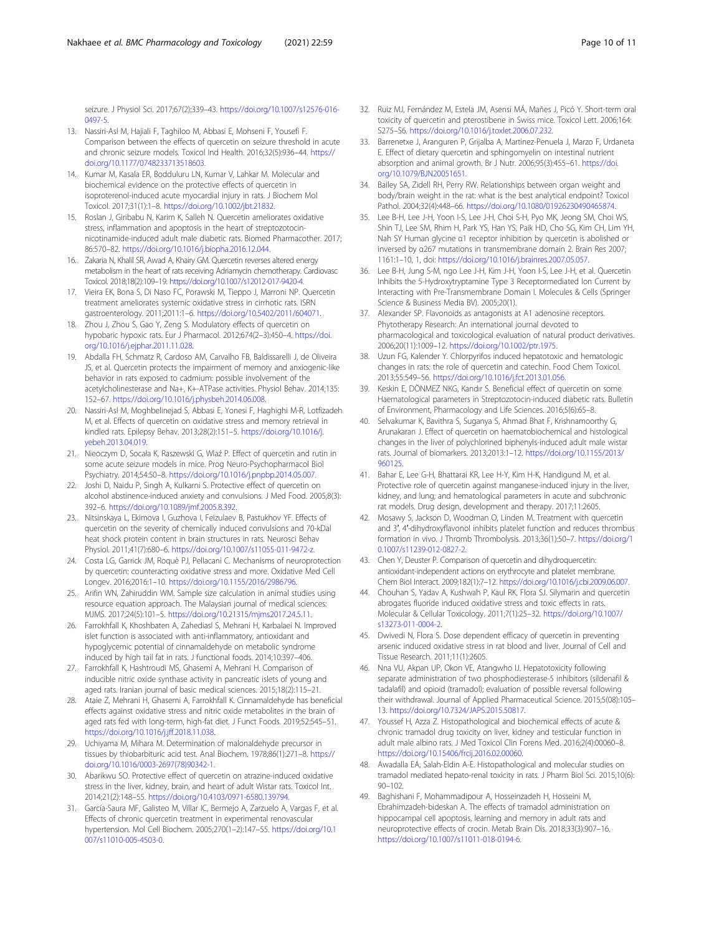<span id="page-9-0"></span>seizure. J Physiol Sci. 2017;67(2):339–43. [https://doi.org/10.1007/s12576-016-](https://doi.org/10.1007/s12576-016-0497-5) [0497-5.](https://doi.org/10.1007/s12576-016-0497-5)

- 13. Nassiri-Asl M, Hajiali F, Taghiloo M, Abbasi E, Mohseni F, Yousefi F. Comparison between the effects of quercetin on seizure threshold in acute and chronic seizure models. Toxicol Ind Health. 2016;32(5):936–44. [https://](https://doi.org/10.1177/0748233713518603) [doi.org/10.1177/0748233713518603.](https://doi.org/10.1177/0748233713518603)
- 14. Kumar M, Kasala ER, Bodduluru LN, Kumar V, Lahkar M. Molecular and biochemical evidence on the protective effects of quercetin in isoproterenol-induced acute myocardial injury in rats. J Biochem Mol Toxicol. 2017;31(1):1–8. [https://doi.org/10.1002/jbt.21832.](https://doi.org/10.1002/jbt.21832)
- 15. Roslan J, Giribabu N, Karim K, Salleh N. Quercetin ameliorates oxidative stress, inflammation and apoptosis in the heart of streptozotocinnicotinamide-induced adult male diabetic rats. Biomed Pharmacother. 2017; 86:570–82. [https://doi.org/10.1016/j.biopha.2016.12.044.](https://doi.org/10.1016/j.biopha.2016.12.044)
- 16. Zakaria N, Khalil SR, Awad A, Khairy GM. Quercetin reverses altered energy metabolism in the heart of rats receiving Adriamycin chemotherapy. Cardiovasc Toxicol. 2018;18(2):109–19. <https://doi.org/10.1007/s12012-017-9420-4>.
- 17. Vieira EK, Bona S, Di Naso FC, Porawski M, Tieppo J, Marroni NP. Quercetin treatment ameliorates systemic oxidative stress in cirrhotic rats. ISRN gastroenterology. 2011;2011:1–6. [https://doi.org/10.5402/2011/604071.](https://doi.org/10.5402/2011/604071)
- 18. Zhou J, Zhou S, Gao Y, Zeng S, Modulatory effects of quercetin on hypobaric hypoxic rats. Eur J Pharmacol. 2012;674(2–3):450–4. [https://doi.](https://doi.org/10.1016/j.ejphar.2011.11.028) [org/10.1016/j.ejphar.2011.11.028.](https://doi.org/10.1016/j.ejphar.2011.11.028)
- 19. Abdalla FH, Schmatz R, Cardoso AM, Carvalho FB, Baldissarelli J, de Oliveira JS, et al. Quercetin protects the impairment of memory and anxiogenic-like behavior in rats exposed to cadmium: possible involvement of the acetylcholinesterase and Na+, K+-ATPase activities. Physiol Behav. 2014;135: 152–67. <https://doi.org/10.1016/j.physbeh.2014.06.008>.
- 20. Nassiri-Asl M, Moghbelinejad S, Abbasi E, Yonesi F, Haghighi M-R, Lotfizadeh M, et al. Effects of quercetin on oxidative stress and memory retrieval in kindled rats. Epilepsy Behav. 2013;28(2):151–5. [https://doi.org/10.1016/j.](https://doi.org/10.1016/j.yebeh.2013.04.019) [yebeh.2013.04.019.](https://doi.org/10.1016/j.yebeh.2013.04.019)
- 21. Nieoczym D, Socała K, Raszewski G, Wlaź P. Effect of quercetin and rutin in some acute seizure models in mice. Prog Neuro-Psychopharmacol Biol Psychiatry. 2014;54:50–8. [https://doi.org/10.1016/j.pnpbp.2014.05.007.](https://doi.org/10.1016/j.pnpbp.2014.05.007)
- 22. Joshi D, Naidu P, Singh A, Kulkarni S. Protective effect of quercetin on alcohol abstinence-induced anxiety and convulsions. J Med Food. 2005;8(3): 392–6. <https://doi.org/10.1089/jmf.2005.8.392>.
- 23. Nitsinskaya L, Ekimova I, Guzhova I, Feizulaev B, Pastukhov YF. Effects of quercetin on the severity of chemically induced convulsions and 70-kDal heat shock protein content in brain structures in rats. Neurosci Behav Physiol. 2011;41(7):680–6. <https://doi.org/10.1007/s11055-011-9472-z>.
- 24. Costa LG, Garrick JM, Roquè PJ, Pellacani C. Mechanisms of neuroprotection by quercetin: counteracting oxidative stress and more. Oxidative Med Cell Longev. 2016;2016:1–10. <https://doi.org/10.1155/2016/2986796>.
- 25. Arifin WN, Zahiruddin WM. Sample size calculation in animal studies using resource equation approach. The Malaysian journal of medical sciences: MJMS. 2017;24(5):101–5. [https://doi.org/10.21315/mjms2017.24.5.11.](https://doi.org/10.21315/mjms2017.24.5.11)
- 26. Farrokhfall K, Khoshbaten A, Zahediasl S, Mehrani H, Karbalaei N. Improved islet function is associated with anti-inflammatory, antioxidant and hypoglycemic potential of cinnamaldehyde on metabolic syndrome induced by high tail fat in rats. J functional foods. 2014;10:397–406.
- 27. Farrokhfall K, Hashtroudi MS, Ghasemi A, Mehrani H. Comparison of inducible nitric oxide synthase activity in pancreatic islets of young and aged rats. Iranian journal of basic medical sciences. 2015;18(2):115–21.
- 28. Ataie Z, Mehrani H, Ghasemi A, Farrokhfall K. Cinnamaldehyde has beneficial effects against oxidative stress and nitric oxide metabolites in the brain of aged rats fed with long-term, high-fat diet. J Funct Foods. 2019;52:545–51. <https://doi.org/10.1016/j.jff.2018.11.038>.
- 29. Uchiyama M, Mihara M. Determination of malonaldehyde precursor in tissues by thiobarbituric acid test. Anal Biochem. 1978;86(1):271–8. [https://](https://doi.org/10.1016/0003-2697(78)90342-1) [doi.org/10.1016/0003-2697\(78\)90342-1.](https://doi.org/10.1016/0003-2697(78)90342-1)
- 30. Abarikwu SO. Protective effect of quercetin on atrazine-induced oxidative stress in the liver, kidney, brain, and heart of adult Wistar rats. Toxicol Int. 2014;21(2):148–55. [https://doi.org/10.4103/0971-6580.139794.](https://doi.org/10.4103/0971-6580.139794)
- 31. García-Saura MF, Galisteo M, Villar IC, Bermejo A, Zarzuelo A, Vargas F, et al. Effects of chronic quercetin treatment in experimental renovascular hypertension. Mol Cell Biochem. 2005;270(1–2):147–55. [https://doi.org/10.1](https://doi.org/10.1007/s11010-005-4503-0) [007/s11010-005-4503-0.](https://doi.org/10.1007/s11010-005-4503-0)
- 32. Ruiz MJ, Fernández M, Estela JM, Asensi MÁ, Mañes J, Picó Y. Short-term oral toxicity of quercetin and pterostibene in Swiss mice. Toxicol Lett. 2006;164: S275–S6. [https://doi.org/10.1016/j.toxlet.2006.07.232.](https://doi.org/10.1016/j.toxlet.2006.07.232)
- 33. Barrenetxe J, Aranguren P, Grijalba A, Martinez-Penuela J, Marzo F, Urdaneta E. Effect of dietary quercetin and sphingomyelin on intestinal nutrient absorption and animal growth. Br J Nutr. 2006;95(3):455–61. [https://doi.](https://doi.org/10.1079/BJN20051651) [org/10.1079/BJN20051651.](https://doi.org/10.1079/BJN20051651)
- 34. Bailey SA, Zidell RH, Perry RW. Relationships between organ weight and body/brain weight in the rat: what is the best analytical endpoint? Toxicol Pathol. 2004;32(4):448–66. <https://doi.org/10.1080/01926230490465874>.
- 35. Lee B-H, Lee J-H, Yoon I-S, Lee J-H, Choi S-H, Pyo MK, Jeong SM, Choi WS, Shin TJ, Lee SM, Rhim H, Park YS, Han YS, Paik HD, Cho SG, Kim CH, Lim YH, Nah SY Human glycine α1 receptor inhibition by quercetin is abolished or inversed by α267 mutations in transmembrane domain 2. Brain Res 2007; 1161:1–10, 1, doi: [https://doi.org/10.1016/j.brainres.2007.05.057.](https://doi.org/10.1016/j.brainres.2007.05.057)
- 36. Lee B-H, Jung S-M, ngo Lee J-H, Kim J-H, Yoon I-S, Lee J-H, et al. Quercetin Inhibits the 5-Hydroxytryptamine Type 3 Receptormediated Ion Current by Interacting with Pre-Transmembrane Domain I. Molecules & Cells (Springer Science & Business Media BV). 2005;20(1).
- 37. Alexander SP. Flavonoids as antagonists at A1 adenosine receptors. Phytotherapy Research: An international journal devoted to pharmacological and toxicological evaluation of natural product derivatives. 2006;20(11):1009–12. [https://doi.org/10.1002/ptr.1975.](https://doi.org/10.1002/ptr.1975)
- 38. Uzun FG, Kalender Y. Chlorpyrifos induced hepatotoxic and hematologic changes in rats: the role of quercetin and catechin. Food Chem Toxicol. 2013;55:549–56. [https://doi.org/10.1016/j.fct.2013.01.056.](https://doi.org/10.1016/j.fct.2013.01.056)
- 39. Keskin E, DÖNMEZ NKG, Kandır S. Beneficial effect of quercetin on some Haematological parameters in Streptozotocin-induced diabetic rats. Bulletin of Environment, Pharmacology and Life Sciences. 2016;5(6):65–8.
- 40. Selvakumar K, Bavithra S, Suganya S, Ahmad Bhat F, Krishnamoorthy G, Arunakaran J. Effect of quercetin on haematobiochemical and histological changes in the liver of polychlorined biphenyls-induced adult male wistar rats. Journal of biomarkers. 2013;2013:1–12. [https://doi.org/10.1155/2013/](https://doi.org/10.1155/2013/960125) [960125](https://doi.org/10.1155/2013/960125).
- 41. Bahar E, Lee G-H, Bhattarai KR, Lee H-Y, Kim H-K, Handigund M, et al. Protective role of quercetin against manganese-induced injury in the liver, kidney, and lung; and hematological parameters in acute and subchronic rat models. Drug design, development and therapy. 2017;11:2605.
- 42. Mosawy S, Jackson D, Woodman O, Linden M. Treatment with quercetin and 3′, 4′-dihydroxyflavonol inhibits platelet function and reduces thrombus formation in vivo. J Thromb Thrombolysis. 2013;36(1):50–7. [https://doi.org/1](https://doi.org/10.1007/s11239-012-0827-2) [0.1007/s11239-012-0827-2.](https://doi.org/10.1007/s11239-012-0827-2)
- 43. Chen Y, Deuster P. Comparison of quercetin and dihydroquercetin: antioxidant-independent actions on erythrocyte and platelet membrane. Chem Biol Interact. 2009;182(1):7–12. <https://doi.org/10.1016/j.cbi.2009.06.007>.
- 44. Chouhan S, Yadav A, Kushwah P, Kaul RK, Flora SJ. Silymarin and quercetin abrogates fluoride induced oxidative stress and toxic effects in rats. Molecular & Cellular Toxicology. 2011;7(1):25–32. [https://doi.org/10.1007/](https://doi.org/10.1007/s13273-011-0004-2) [s13273-011-0004-2.](https://doi.org/10.1007/s13273-011-0004-2)
- 45. Dwivedi N, Flora S. Dose dependent efficacy of quercetin in preventing arsenic induced oxidative stress in rat blood and liver. Journal of Cell and Tissue Research. 2011;11(1):2605.
- 46. Nna VU, Akpan UP, Okon VE, Atangwho IJ. Hepatotoxicity following separate administration of two phosphodiesterase-5 inhibitors (sildenafil & tadalafil) and opioid (tramadol); evaluation of possible reversal following their withdrawal. Journal of Applied Pharmaceutical Science. 2015;5(08):105– 13. [https://doi.org/10.7324/JAPS.2015.50817.](https://doi.org/10.7324/JAPS.2015.50817)
- 47. Youssef H, Azza Z. Histopathological and biochemical effects of acute & chronic tramadol drug toxicity on liver, kidney and testicular function in adult male albino rats. J Med Toxicol Clin Forens Med. 2016;2(4):00060–8. <https://doi.org/10.15406/frcij.2016.02.00060>.
- 48. Awadalla EA, Salah-Eldin A-E. Histopathological and molecular studies on tramadol mediated hepato-renal toxicity in rats. J Pharm Biol Sci. 2015;10(6):  $90 - 102$
- 49. Baghishani F, Mohammadipour A, Hosseinzadeh H, Hosseini M, Ebrahimzadeh-bideskan A. The effects of tramadol administration on hippocampal cell apoptosis, learning and memory in adult rats and neuroprotective effects of crocin. Metab Brain Dis. 2018;33(3):907–16. <https://doi.org/10.1007/s11011-018-0194-6>.